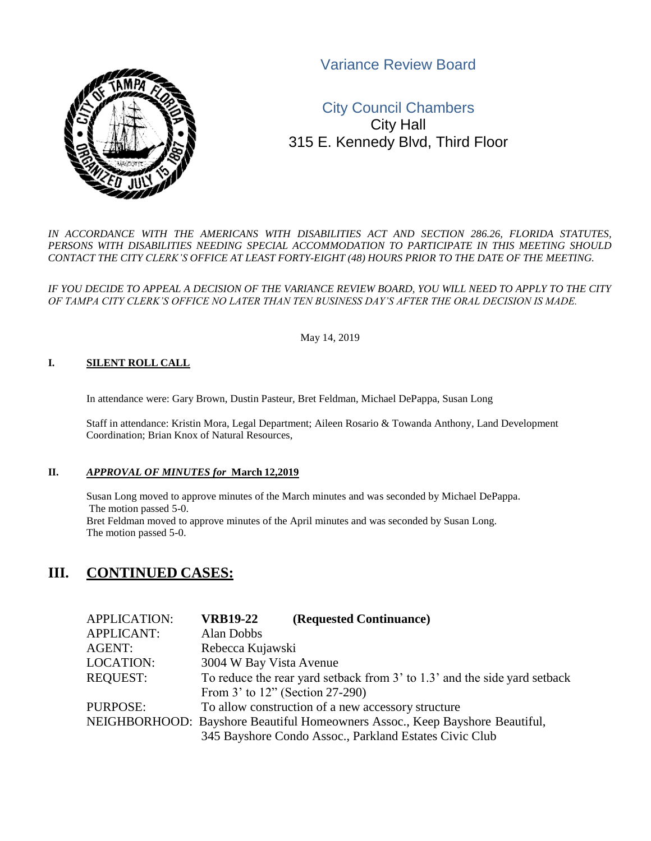Variance Review Board



# City Council Chambers City Hall 315 E. Kennedy Blvd, Third Floor

*IN ACCORDANCE WITH THE AMERICANS WITH DISABILITIES ACT AND SECTION 286.26, FLORIDA STATUTES,*  PERSONS WITH DISABILITIES NEEDING SPECIAL ACCOMMODATION TO PARTICIPATE IN THIS MEETING SHOULD *CONTACT THE CITY CLERK'S OFFICE AT LEAST FORTY-EIGHT (48) HOURS PRIOR TO THE DATE OF THE MEETING.*

*IF YOU DECIDE TO APPEAL A DECISION OF THE VARIANCE REVIEW BOARD, YOU WILL NEED TO APPLY TO THE CITY OF TAMPA CITY CLERK'S OFFICE NO LATER THAN TEN BUSINESS DAY'S AFTER THE ORAL DECISION IS MADE.*

May 14, 2019

#### **I. SILENT ROLL CALL**

In attendance were: Gary Brown, Dustin Pasteur, Bret Feldman, Michael DePappa, Susan Long

Staff in attendance: Kristin Mora, Legal Department; Aileen Rosario & Towanda Anthony, Land Development Coordination; Brian Knox of Natural Resources,

### **II.** *APPROVAL OF MINUTES for* **March 12,2019**

Susan Long moved to approve minutes of the March minutes and was seconded by Michael DePappa. The motion passed 5-0. Bret Feldman moved to approve minutes of the April minutes and was seconded by Susan Long. The motion passed 5-0.

## **III. CONTINUED CASES:**

| <b>APPLICATION:</b> | <b>VRB19-22</b>                 | (Requested Continuance)                                                      |
|---------------------|---------------------------------|------------------------------------------------------------------------------|
| <b>APPLICANT:</b>   | Alan Dobbs                      |                                                                              |
| AGENT:              | Rebecca Kujawski                |                                                                              |
| <b>LOCATION:</b>    | 3004 W Bay Vista Avenue         |                                                                              |
| <b>REQUEST:</b>     |                                 | To reduce the rear yard setback from 3' to 1.3' and the side yard setback    |
|                     | From 3' to 12" (Section 27-290) |                                                                              |
| PURPOSE:            |                                 | To allow construction of a new accessory structure                           |
|                     |                                 | NEIGHBORHOOD: Bayshore Beautiful Homeowners Assoc., Keep Bayshore Beautiful, |
|                     |                                 | 345 Bayshore Condo Assoc., Parkland Estates Civic Club                       |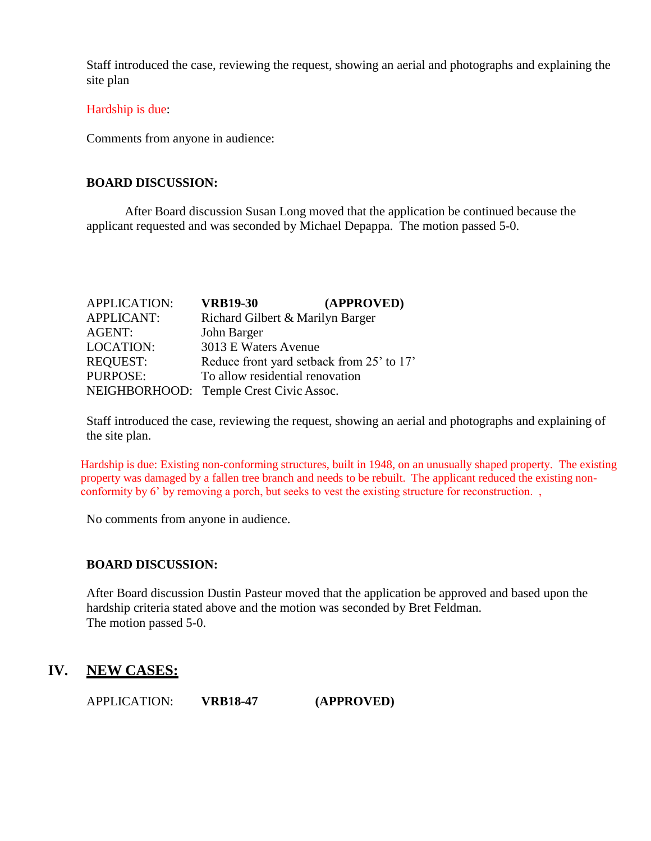Staff introduced the case, reviewing the request, showing an aerial and photographs and explaining the site plan

### Hardship is due:

Comments from anyone in audience:

## **BOARD DISCUSSION:**

After Board discussion Susan Long moved that the application be continued because the applicant requested and was seconded by Michael Depappa. The motion passed 5-0.

| <b>APPLICATION:</b> | <b>VRB19-30</b>                           | (APPROVED) |
|---------------------|-------------------------------------------|------------|
| <b>APPLICANT:</b>   | Richard Gilbert & Marilyn Barger          |            |
| <b>AGENT:</b>       | John Barger                               |            |
| <b>LOCATION:</b>    | 3013 E Waters Avenue                      |            |
| <b>REQUEST:</b>     | Reduce front yard setback from 25' to 17' |            |
| PURPOSE:            | To allow residential renovation           |            |
|                     | NEIGHBORHOOD: Temple Crest Civic Assoc.   |            |

Staff introduced the case, reviewing the request, showing an aerial and photographs and explaining of the site plan.

Hardship is due: Existing non-conforming structures, built in 1948, on an unusually shaped property. The existing property was damaged by a fallen tree branch and needs to be rebuilt. The applicant reduced the existing nonconformity by 6' by removing a porch, but seeks to vest the existing structure for reconstruction. ,

No comments from anyone in audience.

## **BOARD DISCUSSION:**

After Board discussion Dustin Pasteur moved that the application be approved and based upon the hardship criteria stated above and the motion was seconded by Bret Feldman. The motion passed 5-0.

## **IV. NEW CASES:**

APPLICATION: **VRB18-47 (APPROVED)**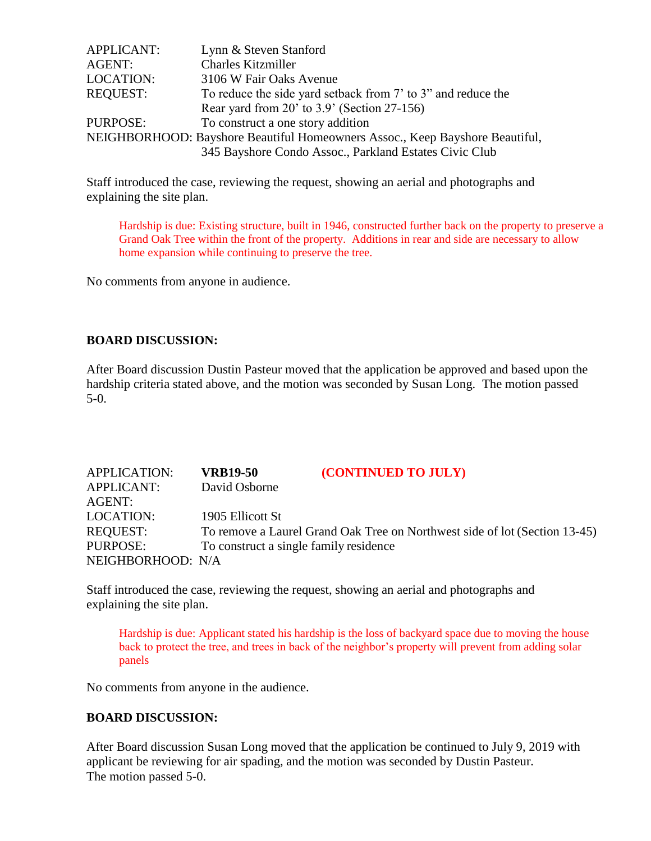| APPLICANT:       | Lynn & Steven Stanford                                                       |
|------------------|------------------------------------------------------------------------------|
| AGENT:           | <b>Charles Kitzmiller</b>                                                    |
| <b>LOCATION:</b> | 3106 W Fair Oaks Avenue                                                      |
| <b>REQUEST:</b>  | To reduce the side yard setback from 7' to 3" and reduce the                 |
|                  | Rear yard from $20'$ to $3.9'$ (Section 27-156)                              |
| PURPOSE:         | To construct a one story addition                                            |
|                  | NEIGHBORHOOD: Bayshore Beautiful Homeowners Assoc., Keep Bayshore Beautiful, |
|                  | 345 Bayshore Condo Assoc., Parkland Estates Civic Club                       |

Staff introduced the case, reviewing the request, showing an aerial and photographs and explaining the site plan.

Hardship is due: Existing structure, built in 1946, constructed further back on the property to preserve a Grand Oak Tree within the front of the property. Additions in rear and side are necessary to allow home expansion while continuing to preserve the tree.

No comments from anyone in audience.

## **BOARD DISCUSSION:**

After Board discussion Dustin Pasteur moved that the application be approved and based upon the hardship criteria stated above, and the motion was seconded by Susan Long. The motion passed 5-0.

| <b>APPLICATION:</b> | <b>VRB19-50</b>                        | (CONTINUED TO JULY)                                                        |
|---------------------|----------------------------------------|----------------------------------------------------------------------------|
| <b>APPLICANT:</b>   | David Osborne                          |                                                                            |
| AGENT:              |                                        |                                                                            |
| <b>LOCATION:</b>    | 1905 Ellicott St                       |                                                                            |
| <b>REQUEST:</b>     |                                        | To remove a Laurel Grand Oak Tree on Northwest side of lot (Section 13-45) |
| PURPOSE:            | To construct a single family residence |                                                                            |
| NEIGHBORHOOD: N/A   |                                        |                                                                            |

Staff introduced the case, reviewing the request, showing an aerial and photographs and explaining the site plan.

Hardship is due: Applicant stated his hardship is the loss of backyard space due to moving the house back to protect the tree, and trees in back of the neighbor's property will prevent from adding solar panels

No comments from anyone in the audience.

## **BOARD DISCUSSION:**

After Board discussion Susan Long moved that the application be continued to July 9, 2019 with applicant be reviewing for air spading, and the motion was seconded by Dustin Pasteur. The motion passed 5-0.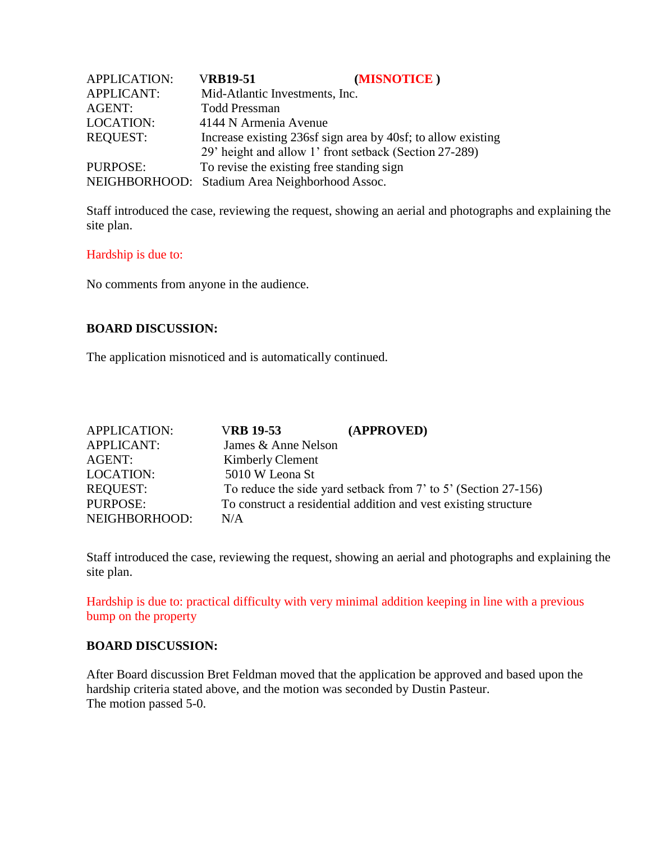| <b>APPLICATION:</b> | <b>VRB19-51</b>                                        | (MISNOTICE)                                                  |
|---------------------|--------------------------------------------------------|--------------------------------------------------------------|
| <b>APPLICANT:</b>   | Mid-Atlantic Investments, Inc.                         |                                                              |
| <b>AGENT:</b>       | <b>Todd Pressman</b>                                   |                                                              |
| <b>LOCATION:</b>    | 4144 N Armenia Avenue                                  |                                                              |
| <b>REQUEST:</b>     |                                                        | Increase existing 236sf sign area by 40sf; to allow existing |
|                     | 29' height and allow 1' front setback (Section 27-289) |                                                              |
| PURPOSE:            | To revise the existing free standing sign              |                                                              |
|                     | NEIGHBORHOOD: Stadium Area Neighborhood Assoc.         |                                                              |

Staff introduced the case, reviewing the request, showing an aerial and photographs and explaining the site plan.

### Hardship is due to:

No comments from anyone in the audience.

## **BOARD DISCUSSION:**

The application misnoticed and is automatically continued.

| <b>APPLICATION:</b> | <b>VRB 19-53</b>        | (APPROVED)                                                      |
|---------------------|-------------------------|-----------------------------------------------------------------|
| <b>APPLICANT:</b>   | James & Anne Nelson     |                                                                 |
| AGENT:              | <b>Kimberly Clement</b> |                                                                 |
| <b>LOCATION:</b>    | 5010 W Leona St         |                                                                 |
| <b>REQUEST:</b>     |                         | To reduce the side yard setback from 7' to 5' (Section 27-156)  |
| <b>PURPOSE:</b>     |                         | To construct a residential addition and vest existing structure |
| NEIGHBORHOOD:       | N/A                     |                                                                 |

Staff introduced the case, reviewing the request, showing an aerial and photographs and explaining the site plan.

Hardship is due to: practical difficulty with very minimal addition keeping in line with a previous bump on the property

## **BOARD DISCUSSION:**

After Board discussion Bret Feldman moved that the application be approved and based upon the hardship criteria stated above, and the motion was seconded by Dustin Pasteur. The motion passed 5-0.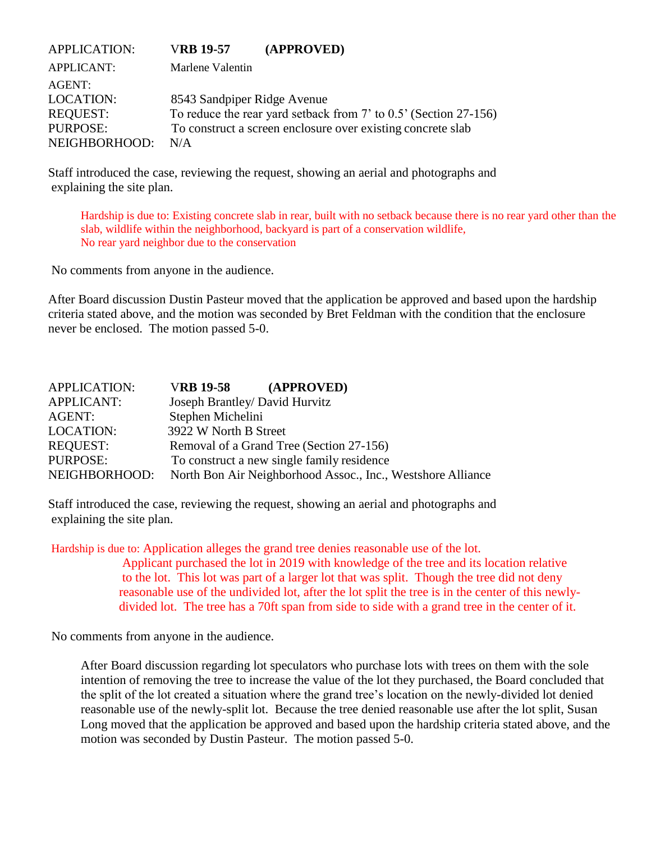| <b>APPLICATION:</b>                                                        | <b>VRB 19-57</b>                   | (APPROVED)                                                                                                                      |
|----------------------------------------------------------------------------|------------------------------------|---------------------------------------------------------------------------------------------------------------------------------|
| <b>APPLICANT:</b>                                                          | Marlene Valentin                   |                                                                                                                                 |
| AGENT:<br><b>LOCATION:</b><br><b>REQUEST:</b><br>PURPOSE:<br>NEIGHBORHOOD: | 8543 Sandpiper Ridge Avenue<br>N/A | To reduce the rear yard setback from 7' to 0.5' (Section 27-156)<br>To construct a screen enclosure over existing concrete slab |

Staff introduced the case, reviewing the request, showing an aerial and photographs and explaining the site plan.

Hardship is due to: Existing concrete slab in rear, built with no setback because there is no rear yard other than the slab, wildlife within the neighborhood, backyard is part of a conservation wildlife, No rear yard neighbor due to the conservation

No comments from anyone in the audience.

After Board discussion Dustin Pasteur moved that the application be approved and based upon the hardship criteria stated above, and the motion was seconded by Bret Feldman with the condition that the enclosure never be enclosed. The motion passed 5-0.

| <b>APPLICATION:</b> | <b>VRB 19-58</b>               | (APPROVED)                                                  |
|---------------------|--------------------------------|-------------------------------------------------------------|
| <b>APPLICANT:</b>   | Joseph Brantley/ David Hurvitz |                                                             |
| AGENT:              | Stephen Michelini              |                                                             |
| <b>LOCATION:</b>    | 3922 W North B Street          |                                                             |
| <b>REQUEST:</b>     |                                | Removal of a Grand Tree (Section 27-156)                    |
| PURPOSE:            |                                | To construct a new single family residence                  |
| NEIGHBORHOOD:       |                                | North Bon Air Neighborhood Assoc., Inc., Westshore Alliance |

Staff introduced the case, reviewing the request, showing an aerial and photographs and explaining the site plan.

Hardship is due to: Application alleges the grand tree denies reasonable use of the lot.

Applicant purchased the lot in 2019 with knowledge of the tree and its location relative to the lot. This lot was part of a larger lot that was split. Though the tree did not deny reasonable use of the undivided lot, after the lot split the tree is in the center of this newlydivided lot. The tree has a 70ft span from side to side with a grand tree in the center of it.

No comments from anyone in the audience.

After Board discussion regarding lot speculators who purchase lots with trees on them with the sole intention of removing the tree to increase the value of the lot they purchased, the Board concluded that the split of the lot created a situation where the grand tree's location on the newly-divided lot denied reasonable use of the newly-split lot. Because the tree denied reasonable use after the lot split, Susan Long moved that the application be approved and based upon the hardship criteria stated above, and the motion was seconded by Dustin Pasteur. The motion passed 5-0.